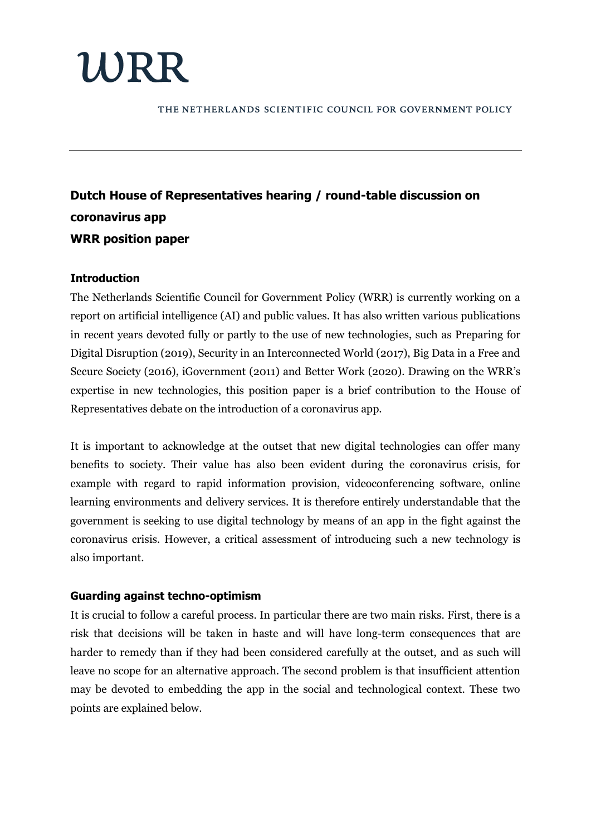# WRR

THE NETHERLANDS SCIENTIFIC COUNCIL FOR GOVERNMENT POLICY

# **Dutch House of Representatives hearing / round-table discussion on coronavirus app WRR position paper**

# **Introduction**

The Netherlands Scientific Council for Government Policy (WRR) is currently working on a report on artificial intelligence (AI) and public values. It has also written various publications in recent years devoted fully or partly to the use of new technologies, such as Preparing for Digital Disruption (2019), Security in an Interconnected World (2017), Big Data in a Free and Secure Society (2016), iGovernment (2011) and Better Work (2020). Drawing on the WRR's expertise in new technologies, this position paper is a brief contribution to the House of Representatives debate on the introduction of a coronavirus app.

It is important to acknowledge at the outset that new digital technologies can offer many benefits to society. Their value has also been evident during the coronavirus crisis, for example with regard to rapid information provision, videoconferencing software, online learning environments and delivery services. It is therefore entirely understandable that the government is seeking to use digital technology by means of an app in the fight against the coronavirus crisis. However, a critical assessment of introducing such a new technology is also important.

# **Guarding against techno-optimism**

It is crucial to follow a careful process. In particular there are two main risks. First, there is a risk that decisions will be taken in haste and will have long-term consequences that are harder to remedy than if they had been considered carefully at the outset, and as such will leave no scope for an alternative approach. The second problem is that insufficient attention may be devoted to embedding the app in the social and technological context. These two points are explained below.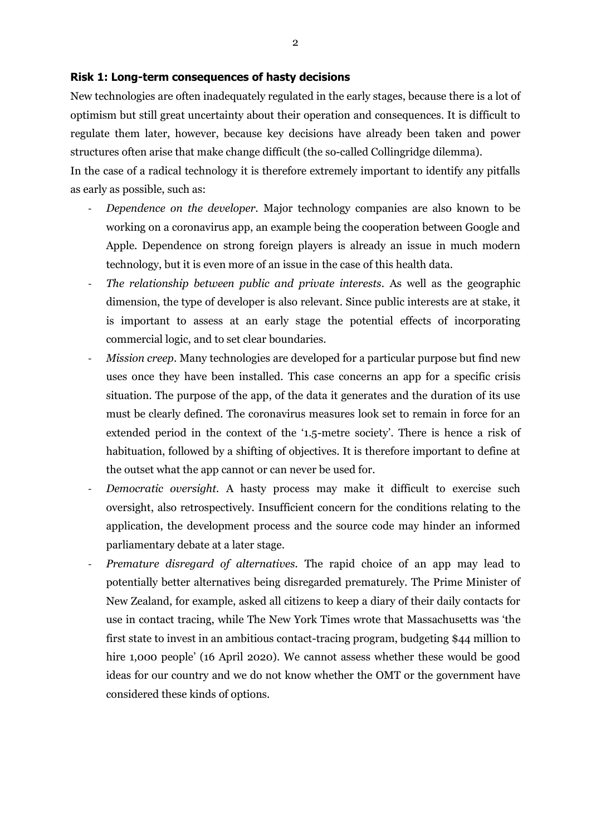#### **Risk 1: Long-term consequences of hasty decisions**

New technologies are often inadequately regulated in the early stages, because there is a lot of optimism but still great uncertainty about their operation and consequences. It is difficult to regulate them later, however, because key decisions have already been taken and power structures often arise that make change difficult (the so-called Collingridge dilemma).

In the case of a radical technology it is therefore extremely important to identify any pitfalls as early as possible, such as:

- *Dependence on the developer.* Major technology companies are also known to be working on a coronavirus app, an example being the cooperation between Google and Apple. Dependence on strong foreign players is already an issue in much modern technology, but it is even more of an issue in the case of this health data.
- *The relationship between public and private interests.* As well as the geographic dimension, the type of developer is also relevant. Since public interests are at stake, it is important to assess at an early stage the potential effects of incorporating commercial logic, and to set clear boundaries.
- *Mission creep*. Many technologies are developed for a particular purpose but find new uses once they have been installed. This case concerns an app for a specific crisis situation. The purpose of the app, of the data it generates and the duration of its use must be clearly defined. The coronavirus measures look set to remain in force for an extended period in the context of the '1.5-metre society'. There is hence a risk of habituation, followed by a shifting of objectives. It is therefore important to define at the outset what the app cannot or can never be used for.
- *Democratic oversight.* A hasty process may make it difficult to exercise such oversight, also retrospectively. Insufficient concern for the conditions relating to the application, the development process and the source code may hinder an informed parliamentary debate at a later stage.
- *Premature disregard of alternatives.* The rapid choice of an app may lead to potentially better alternatives being disregarded prematurely. The Prime Minister of New Zealand, for example, asked all citizens to keep a diary of their daily contacts for use in contact tracing, while The New York Times wrote that Massachusetts was 'the first state to invest in an ambitious contact-tracing program, budgeting \$44 million to hire 1,000 people' (16 April 2020). We cannot assess whether these would be good ideas for our country and we do not know whether the OMT or the government have considered these kinds of options.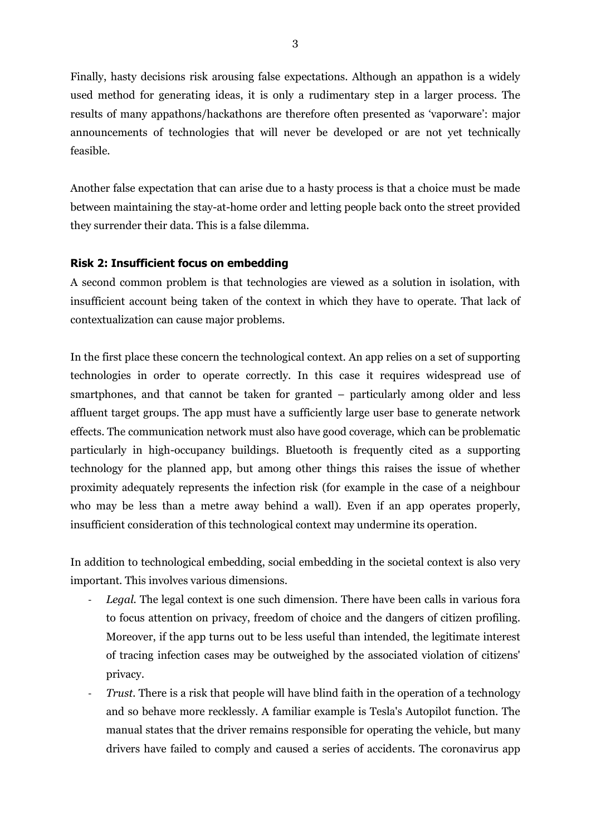Finally, hasty decisions risk arousing false expectations. Although an appathon is a widely used method for generating ideas, it is only a rudimentary step in a larger process. The results of many appathons/hackathons are therefore often presented as 'vaporware': major announcements of technologies that will never be developed or are not yet technically feasible.

Another false expectation that can arise due to a hasty process is that a choice must be made between maintaining the stay-at-home order and letting people back onto the street provided they surrender their data. This is a false dilemma.

### **Risk 2: Insufficient focus on embedding**

A second common problem is that technologies are viewed as a solution in isolation, with insufficient account being taken of the context in which they have to operate. That lack of contextualization can cause major problems.

In the first place these concern the technological context. An app relies on a set of supporting technologies in order to operate correctly. In this case it requires widespread use of smartphones, and that cannot be taken for granted – particularly among older and less affluent target groups. The app must have a sufficiently large user base to generate network effects. The communication network must also have good coverage, which can be problematic particularly in high-occupancy buildings. Bluetooth is frequently cited as a supporting technology for the planned app, but among other things this raises the issue of whether proximity adequately represents the infection risk (for example in the case of a neighbour who may be less than a metre away behind a wall). Even if an app operates properly, insufficient consideration of this technological context may undermine its operation.

In addition to technological embedding, social embedding in the societal context is also very important. This involves various dimensions.

- Legal. The legal context is one such dimension. There have been calls in various fora to focus attention on privacy, freedom of choice and the dangers of citizen profiling. Moreover, if the app turns out to be less useful than intended, the legitimate interest of tracing infection cases may be outweighed by the associated violation of citizens' privacy.
- *Trust.* There is a risk that people will have blind faith in the operation of a technology and so behave more recklessly. A familiar example is Tesla's Autopilot function. The manual states that the driver remains responsible for operating the vehicle, but many drivers have failed to comply and caused a series of accidents. The coronavirus app